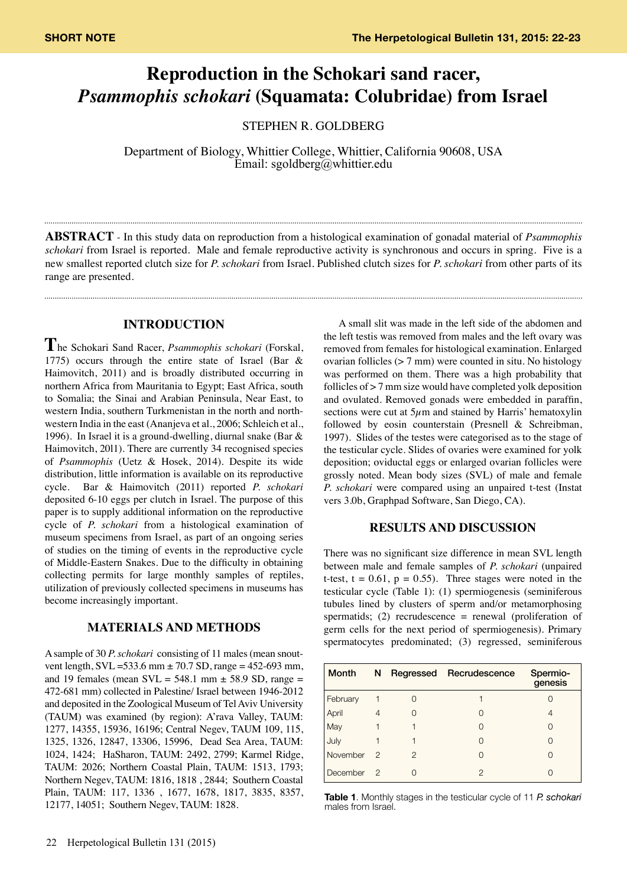# **Reproduction in the Schokari sand racer,**  *Psammophis schokari* **(Squamata: Colubridae) from Israel**

STEPHEN R. GOLDBERG

Department of Biology, Whittier College, Whittier, California 90608, USA Email: sgoldberg@whittier.edu

**ABSTRACT** - In this study data on reproduction from a histological examination of gonadal material of *Psammophis schokari* from Israel is reported. Male and female reproductive activity is synchronous and occurs in spring. Five is a new smallest reported clutch size for *P. schokari* from Israel. Published clutch sizes for *P. schokari* from other parts of its range are presented.

#### **INTRODUCTION**

**T**he Schokari Sand Racer, *Psammophis schokari* (Forskal, 1775) occurs through the entire state of Israel (Bar & Haimovitch, 2011) and is broadly distributed occurring in northern Africa from Mauritania to Egypt; East Africa, south to Somalia; the Sinai and Arabian Peninsula, Near East, to western India, southern Turkmenistan in the north and northwestern India in the east (Ananjeva et al., 2006; Schleich et al., 1996). In Israel it is a ground-dwelling, diurnal snake (Bar & Haimovitch, 20l1). There are currently 34 recognised species of *Psammophis* (Uetz & Hosek, 2014). Despite its wide distribution, little information is available on its reproductive cycle. Bar & Haimovitch (2011) reported *P. schokari* deposited 6-10 eggs per clutch in Israel. The purpose of this paper is to supply additional information on the reproductive cycle of *P. schokari* from a histological examination of museum specimens from Israel, as part of an ongoing series of studies on the timing of events in the reproductive cycle of Middle-Eastern Snakes. Due to the difficulty in obtaining collecting permits for large monthly samples of reptiles, utilization of previously collected specimens in museums has become increasingly important.

# **MATERIALS AND METHODS**

A sample of 30 *P. schokari* consisting of 11 males (mean snoutvent length,  $SVL = 533.6$  mm  $\pm$  70.7 SD, range = 452-693 mm, and 19 females (mean  $SVL = 548.1$  mm  $\pm$  58.9 SD, range = 472-681 mm) collected in Palestine/ Israel between 1946-2012 and deposited in the Zoological Museum of Tel Aviv University (TAUM) was examined (by region): A'rava Valley, TAUM: 1277, 14355, 15936, 16196; Central Negev, TAUM 109, 115, 1325, 1326, 12847, 13306, 15996, Dead Sea Area, TAUM: 1024, 1424; HaSharon, TAUM: 2492, 2799; Karmel Ridge, TAUM: 2026; Northern Coastal Plain, TAUM: 1513, 1793; Northern Negev, TAUM: 1816, 1818 , 2844; Southern Coastal Plain, TAUM: 117, 1336 , 1677, 1678, 1817, 3835, 8357, 12177, 14051; Southern Negev, TAUM: 1828.

A small slit was made in the left side of the abdomen and the left testis was removed from males and the left ovary was removed from females for histological examination. Enlarged ovarian follicles (> 7 mm) were counted in situ. No histology was performed on them. There was a high probability that follicles of > 7 mm size would have completed yolk deposition and ovulated. Removed gonads were embedded in paraffin, sections were cut at  $5\mu$ m and stained by Harris' hematoxylin followed by eosin counterstain (Presnell & Schreibman, 1997). Slides of the testes were categorised as to the stage of the testicular cycle. Slides of ovaries were examined for yolk deposition; oviductal eggs or enlarged ovarian follicles were grossly noted. Mean body sizes (SVL) of male and female *P. schokari* were compared using an unpaired t-test (Instat vers 3.0b, Graphpad Software, San Diego, CA).

## **RESULTS AND DISCUSSION**

There was no significant size difference in mean SVL length between male and female samples of *P. schokari* (unpaired t-test,  $t = 0.61$ ,  $p = 0.55$ ). Three stages were noted in the testicular cycle (Table 1): (1) spermiogenesis (seminiferous tubules lined by clusters of sperm and/or metamorphosing spermatids; (2) recrudescence  $=$  renewal (proliferation of germ cells for the next period of spermiogenesis). Primary spermatocytes predominated; (3) regressed, seminiferous

| <b>Month</b> | N             |               | Regressed Recrudescence | Spermio-<br>genesis |
|--------------|---------------|---------------|-------------------------|---------------------|
| February     |               |               |                         |                     |
| April        | 4             |               |                         | 4                   |
| May          |               |               |                         |                     |
| July         |               |               |                         |                     |
| November     | $\mathcal{P}$ | $\mathcal{P}$ |                         |                     |
| December     | 2             |               | 2                       |                     |

**Table 1**. Monthly stages in the testicular cycle of 11 *P. schokari* males from Israel.